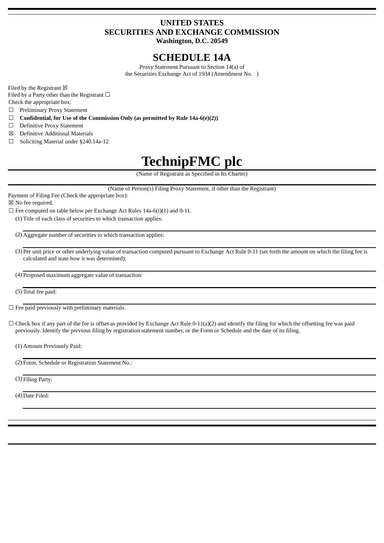#### **UNITED STATES SECURITIES AND EXCHANGE COMMISSION Washington, D.C. 20549**

## **SCHEDULE 14A**

Proxy Statement Pursuant to Section 14(a) of the Securities Exchange Act of 1934 (Amendment No. )

Filed by the Registrant  $\boxtimes$ 

Filed by a Party other than the Registrant  $\Box$ Check the appropriate box:

☐ Preliminary Proxy Statement

☐ **Confidential, for Use of the Commission Only (as permitted by Rule 14a-6(e)(2))**

- ☐ Definitive Proxy Statement
- ☒ Definitive Additional Materials
- ☐ Soliciting Material under §240.14a-12

# **TechnipFMC plc**

(Name of Registrant as Specified in Its Charter)

(Name of Person(s) Filing Proxy Statement, if other than the Registrant)

Payment of Filing Fee (Check the appropriate box): ☒ No fee required.

 $\Box$  Fee computed on table below per Exchange Act Rules 14a-6(i)(1) and 0-11.

(1) Title of each class of securities to which transaction applies:

(2) Aggregate number of securities to which transaction applies:

- (3) Per unit price or other underlying value of transaction computed pursuant to Exchange Act Rule 0-11 (set forth the amount on which the filing fee is calculated and state how it was determined):
- (4) Proposed maximum aggregate value of transaction:

(5) Total fee paid:

 $\Box$  Fee paid previously with preliminary materials.

 $\Box$  Check box if any part of the fee is offset as provided by Exchange Act Rule 0-11(a)(2) and identify the filing for which the offsetting fee was paid previously. Identify the previous filing by registration statement number, or the Form or Schedule and the date of its filing.

(1) Amount Previously Paid:

(2) Form, Schedule or Registration Statement No.:

(3) Filing Party:

(4) Date Filed: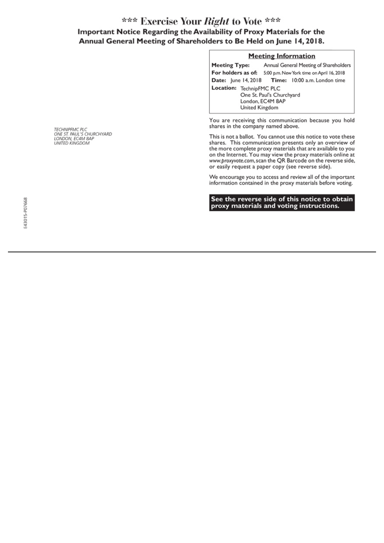### \*\*\* Exercise Your Right to Vote \*\*\* Important Notice Regarding the Availability of Proxy Materials for the Annual General Meeting of Shareholders to Be Held on June 14, 2018.

| <b>Meeting Information</b>                                                                  |                                                  |
|---------------------------------------------------------------------------------------------|--------------------------------------------------|
| <b>Meeting Type:</b>                                                                        | Annual General Meeting of Shareholders           |
| For holders as of:                                                                          | 5:00 p.m. New York time on April 16, 2018        |
|                                                                                             | Date: June 14, 2018 Time: 10:00 a.m. London time |
| Location: TechnipFMC PLC<br>One St. Paul's Churchyard<br>London, EC4M 8AP<br>United Kingdom |                                                  |

You are receiving this communication because you hold shares in the company named above.

This is not a ballot. You cannot use this notice to vote these shares. This communication presents only an overview of the more complete proxy materials that are available to you on the Internet. You may view the proxy materials online at<br>www.proxyvote.com, scan the QR Barcode on the reverse side, or easily request a paper copy (see reverse side).

We encourage you to access and review all of the important information contained in the proxy materials before voting.

See the reverse side of this notice to obtain proxy materials and voting instructions.

TECHNIPFMC PLC<br>ONE ST. PAUL'S CHURCHYARD<br>LONDON, EC4M 8AP<br>UNITED KINGDOM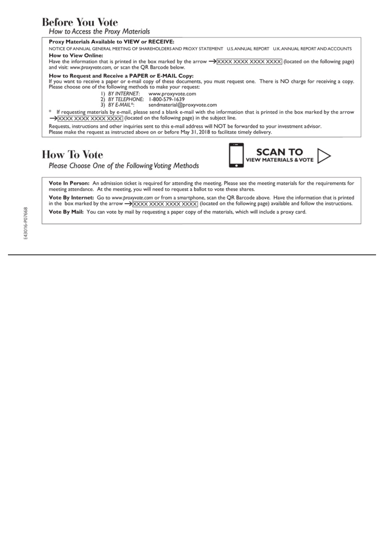### **Before You Vote**

How to Access the Proxy Materials

#### Proxy Materials Available to VIEW or RECEIVE:

NOTICE OF ANNUAL GENERAL MEETING OF SHAREHOLDERS AND PROXY STATEMENT U.S. ANNUAL REPORT U.K. ANNUAL REPORT AND ACCOUNTS **How to View Online:** 

Have the information that is printed in the box marked by the arrow  $\rightarrow$  XXXX XXXX XXXX XXXX (located on the following page) and visit: www.proxyvote.com, or scan the QR Barcode below.

#### How to Request and Receive a PAPER or E-MAIL Copy:

If you want to receive a paper or e-mail copy of these documents, you must request one. There is NO charge for receiving a copy. Please choose one of the following methods to make your request:

- I) BY INTERNET: www.proxyvote.com
- 2) BY TELEPHONE: 1-800-579-1639
- $3)$  BY E-MAIL\*: sendmaterial@proxyvote.com

If requesting materials by e-mail, please send a blank e-mail with the information that is printed in the box marked by the arrow >XXXX XXXX XXXX XXXX (located on the following page) in the subject line.

Requests, instructions and other inquiries sent to this e-mail address will NOT be forwarded to your investment advisor. Please make the request as instructed above on or before May 31, 2018 to facilitate timely delivery.

### **How To Vote**

Please Choose One of the Following Voting Methods



Vote In Person: An admission ticket is required for attending the meeting. Please see the meeting materials for the requirements for meeting attendance. At the meeting, you will need to request a ballot to vote these shares.

Vote By Internet: Go to www.proxyvote.com or from a smartphone, scan the QR Barcode above. Have the information that is printed in the box marked by the arrow  $\rightarrow$  XXXX XXXX XXXX XXXX (located on the following page) available and follow the instructions.

Vote By Mail: You can vote by mail by requesting a paper copy of the materials, which will include a proxy card.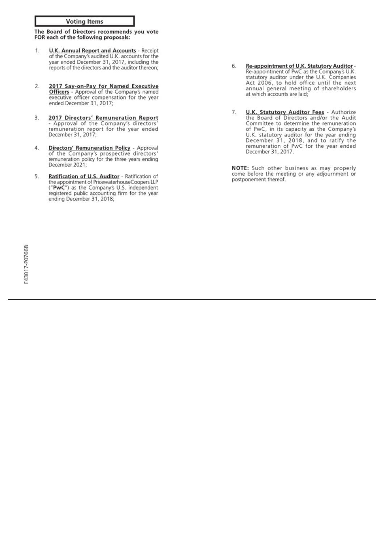**Voting Items** 

The Board of Directors recommends you vote FOR each of the following proposals:

- **U.K. Annual Report and Accounts Receipt** 1. of the Company's audited U.K. accounts for the by the company's addred O.K. accounts for the<br>year ended December 31, 2017, including the<br>reports of the directors and the auditor thereon;
- 2. 2017 Say-on-Pay for Named Executive Officers - Approval of the Company's named executive officer compensation for the year ended December 31, 2017;
- 2017 Directors' Remuneration Report<br>- Approval of the Company's directors'<br>remuneration report for the year ended 3. December 31, 2017;
- **Directors' Remuneration Policy** Approval of the Company's prospective directors'<br>remuneration policy for the three years ending 4. December 2021;
- 5. Ratification of U.S. Auditor - Ratification of the appointment of PricewaterhouseCoopers LLP<br>("PwC") as the Company's U.S. independent registered public accounting firm for the year ending December 31, 2018;
- Re-appointment of U.K. Statutory Auditor-<br>Re-appointment of PwC as the Company's U.K.<br>statutory auditor under the U.K. Companies<br>Act 2006, to hold office until the next 6 annual general meeting of shareholders at which accounts are laid;
- **U.K. Statutory Auditor Fees** Authorize<br>the Board of Directors and/or the Audit 7. Committee to determine the remuneration committee to determine the remuneration<br>of PwC, in its capacity as the Company's<br>U.K. statutory auditor for the year ending<br>December 31, 2018, and to ratify the<br>remuneration of PwC for the year ended December 31, 2017.

NOTE: Such other business as may properly come before the meeting or any adjournment or postponement thereof.